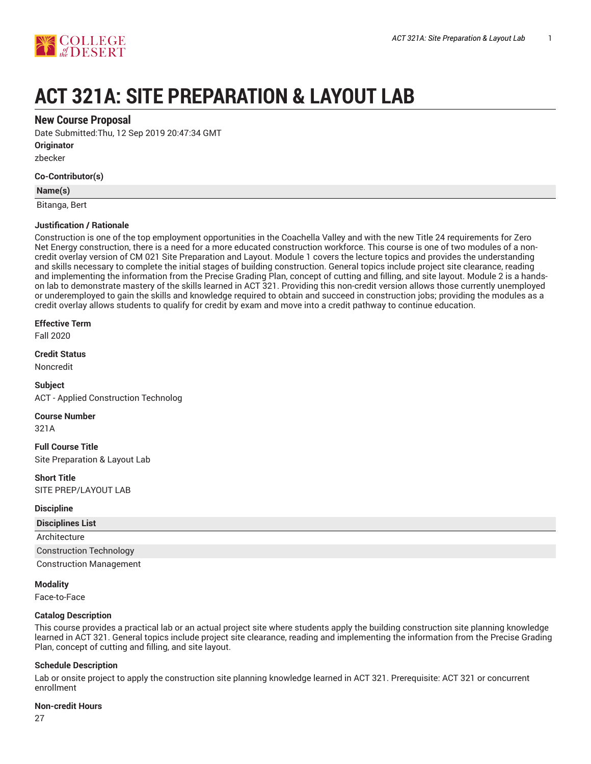

# **ACT 321A: SITE PREPARATION & LAYOUT LAB**

# **New Course Proposal**

Date Submitted:Thu, 12 Sep 2019 20:47:34 GMT

**Originator**

zbecker

## **Co-Contributor(s)**

**Name(s)**

Bitanga, Bert

## **Justification / Rationale**

Construction is one of the top employment opportunities in the Coachella Valley and with the new Title 24 requirements for Zero Net Energy construction, there is a need for a more educated construction workforce. This course is one of two modules of a noncredit overlay version of CM 021 Site Preparation and Layout. Module 1 covers the lecture topics and provides the understanding and skills necessary to complete the initial stages of building construction. General topics include project site clearance, reading and implementing the information from the Precise Grading Plan, concept of cutting and filling, and site layout. Module 2 is a handson lab to demonstrate mastery of the skills learned in ACT 321. Providing this non-credit version allows those currently unemployed or underemployed to gain the skills and knowledge required to obtain and succeed in construction jobs; providing the modules as a credit overlay allows students to qualify for credit by exam and move into a credit pathway to continue education.

#### **Effective Term**

Fall 2020

**Credit Status**

Noncredit

**Subject** ACT - Applied Construction Technolog

**Course Number**

321A

**Full Course Title** Site Preparation & Layout Lab

**Short Title** SITE PREP/LAYOUT LAB

#### **Discipline**

| <b>Disciplines List</b>        |  |
|--------------------------------|--|
| Architecture                   |  |
| <b>Construction Technology</b> |  |
| <b>Construction Management</b> |  |

#### **Modality**

Face-to-Face

# **Catalog Description**

This course provides a practical lab or an actual project site where students apply the building construction site planning knowledge learned in ACT 321. General topics include project site clearance, reading and implementing the information from the Precise Grading Plan, concept of cutting and filling, and site layout.

# **Schedule Description**

Lab or onsite project to apply the construction site planning knowledge learned in ACT 321. Prerequisite: ACT 321 or concurrent enrollment

#### **Non-credit Hours**

27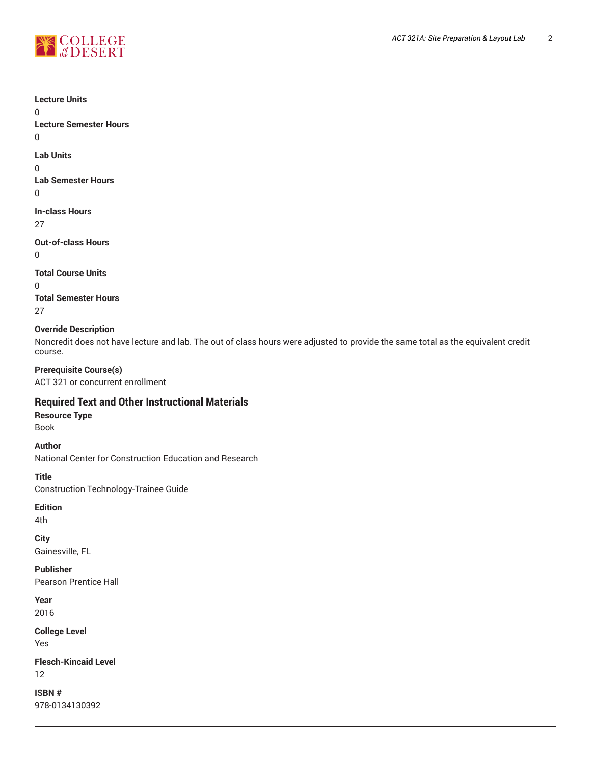



**Lecture Units** 0 **Lecture Semester Hours** 0 **Lab Units** 0 **Lab Semester Hours**  $\Omega$ **In-class Hours** 27 **Out-of-class Hours** 0 **Total Course Units** 0 **Total Semester Hours** 27 **Override Description** Noncredit does not have lecture and lab. The out of class hours were adjusted to provide the same total as the equivalent credit course. **Prerequisite Course(s)** ACT 321 or concurrent enrollment **Required Text and Other Instructional Materials Resource Type** Book **Author** National Center for Construction Education and Research **Title** Construction Technology-Trainee Guide **Edition** 4th **City** Gainesville, FL **Publisher** Pearson Prentice Hall **Year** 2016 **College Level** Yes **Flesch-Kincaid Level** 12 **ISBN #** 978-0134130392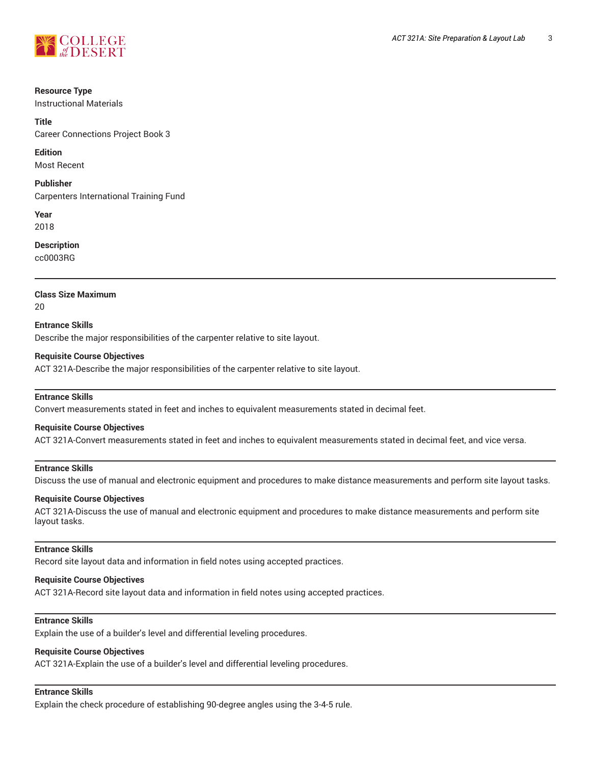

#### **Resource Type**

Instructional Materials

#### **Title**

Career Connections Project Book 3

#### **Edition**

Most Recent

# **Publisher**

Carpenters International Training Fund

**Year** 2018

## **Description**

cc0003RG

## **Class Size Maximum**

20

# **Entrance Skills** Describe the major responsibilities of the carpenter relative to site layout.

## **Requisite Course Objectives**

ACT 321A-Describe the major responsibilities of the carpenter relative to site layout.

#### **Entrance Skills**

Convert measurements stated in feet and inches to equivalent measurements stated in decimal feet.

#### **Requisite Course Objectives**

ACT 321A-Convert measurements stated in feet and inches to equivalent measurements stated in decimal feet, and vice versa.

# **Entrance Skills**

Discuss the use of manual and electronic equipment and procedures to make distance measurements and perform site layout tasks.

#### **Requisite Course Objectives**

ACT 321A-Discuss the use of manual and electronic equipment and procedures to make distance measurements and perform site layout tasks.

## **Entrance Skills**

Record site layout data and information in field notes using accepted practices.

#### **Requisite Course Objectives**

ACT 321A-Record site layout data and information in field notes using accepted practices.

# **Entrance Skills**

Explain the use of a builder's level and differential leveling procedures.

# **Requisite Course Objectives**

ACT 321A-Explain the use of a builder's level and differential leveling procedures.

# **Entrance Skills**

Explain the check procedure of establishing 90-degree angles using the 3-4-5 rule.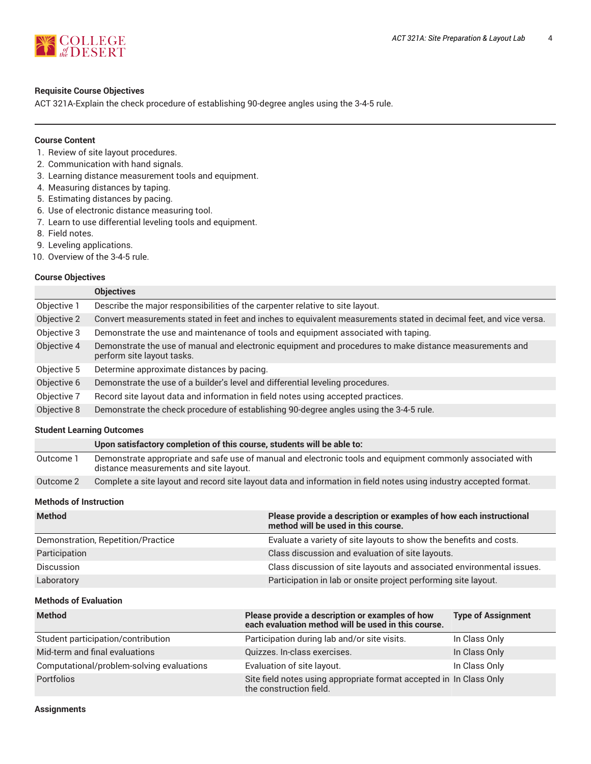

## **Requisite Course Objectives**

ACT 321A-Explain the check procedure of establishing 90-degree angles using the 3-4-5 rule.

## **Course Content**

- 1. Review of site layout procedures.
- 2. Communication with hand signals.
- 3. Learning distance measurement tools and equipment.
- 4. Measuring distances by taping.
- 5. Estimating distances by pacing.
- 6. Use of electronic distance measuring tool.
- 7. Learn to use differential leveling tools and equipment.
- 8. Field notes.
- 9. Leveling applications.
- 10. Overview of the 3-4-5 rule.

# **Course Objectives**

|             | <b>Objectives</b>                                                                                                                     |
|-------------|---------------------------------------------------------------------------------------------------------------------------------------|
| Objective 1 | Describe the major responsibilities of the carpenter relative to site layout.                                                         |
| Objective 2 | Convert measurements stated in feet and inches to equivalent measurements stated in decimal feet, and vice versa.                     |
| Objective 3 | Demonstrate the use and maintenance of tools and equipment associated with taping.                                                    |
| Objective 4 | Demonstrate the use of manual and electronic equipment and procedures to make distance measurements and<br>perform site layout tasks. |
| Objective 5 | Determine approximate distances by pacing.                                                                                            |
| Objective 6 | Demonstrate the use of a builder's level and differential leveling procedures.                                                        |
| Objective 7 | Record site layout data and information in field notes using accepted practices.                                                      |
| Objective 8 | Demonstrate the check procedure of establishing 90-degree angles using the 3-4-5 rule.                                                |
|             |                                                                                                                                       |

#### **Student Learning Outcomes**

|           | Upon satisfactory completion of this course, students will be able to:                                                                               |
|-----------|------------------------------------------------------------------------------------------------------------------------------------------------------|
| Outcome 1 | Demonstrate appropriate and safe use of manual and electronic tools and equipment commonly associated with<br>distance measurements and site layout. |
| Outcome 2 | Complete a site layout and record site layout data and information in field notes using industry accepted format.                                    |

# **Methods of Instruction**

| <b>Method</b>                      | Please provide a description or examples of how each instructional<br>method will be used in this course. |
|------------------------------------|-----------------------------------------------------------------------------------------------------------|
| Demonstration, Repetition/Practice | Evaluate a variety of site layouts to show the benefits and costs.                                        |
| Participation                      | Class discussion and evaluation of site layouts.                                                          |
| <b>Discussion</b>                  | Class discussion of site layouts and associated environmental issues.                                     |
| Laboratory                         | Participation in lab or onsite project performing site layout.                                            |

#### **Methods of Evaluation**

| <b>Method</b>                             | Please provide a description or examples of how<br>each evaluation method will be used in this course. | <b>Type of Assignment</b> |
|-------------------------------------------|--------------------------------------------------------------------------------------------------------|---------------------------|
| Student participation/contribution        | Participation during lab and/or site visits.                                                           | In Class Only             |
| Mid-term and final evaluations            | Quizzes. In-class exercises.                                                                           | In Class Only             |
| Computational/problem-solving evaluations | Evaluation of site layout.                                                                             | In Class Only             |
| <b>Portfolios</b>                         | Site field notes using appropriate format accepted in In Class Only<br>the construction field.         |                           |

**Assignments**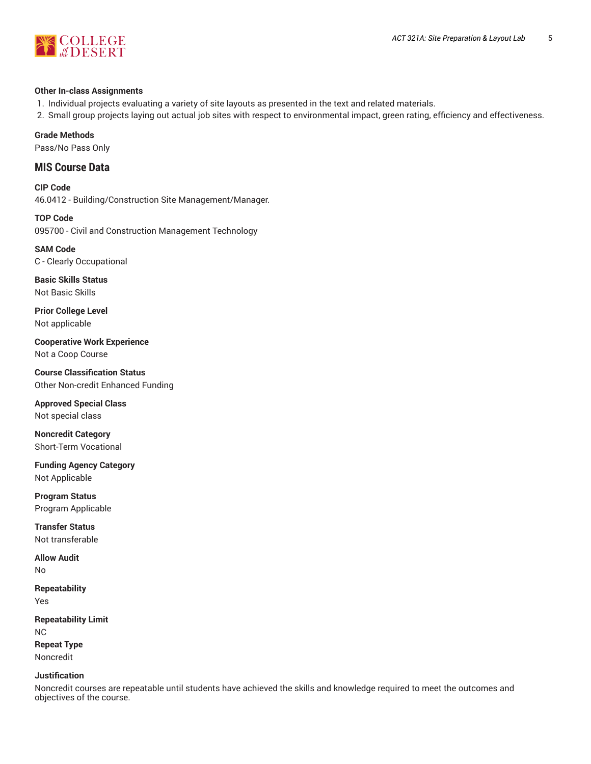

#### **Other In-class Assignments**

- 1. Individual projects evaluating a variety of site layouts as presented in the text and related materials.
- 2. Small group projects laying out actual job sites with respect to environmental impact, green rating, efficiency and effectiveness.

## **Grade Methods**

Pass/No Pass Only

# **MIS Course Data**

**CIP Code** 46.0412 - Building/Construction Site Management/Manager.

**TOP Code** 095700 - Civil and Construction Management Technology

**SAM Code** C - Clearly Occupational

**Basic Skills Status** Not Basic Skills

**Prior College Level** Not applicable

**Cooperative Work Experience** Not a Coop Course

**Course Classification Status** Other Non-credit Enhanced Funding

**Approved Special Class** Not special class

**Noncredit Category** Short-Term Vocational

**Funding Agency Category** Not Applicable

**Program Status** Program Applicable

**Transfer Status** Not transferable

**Allow Audit** No

**Repeatability** Yes

**Repeatability Limit** NC **Repeat Type** Noncredit

## **Justification**

Noncredit courses are repeatable until students have achieved the skills and knowledge required to meet the outcomes and objectives of the course.